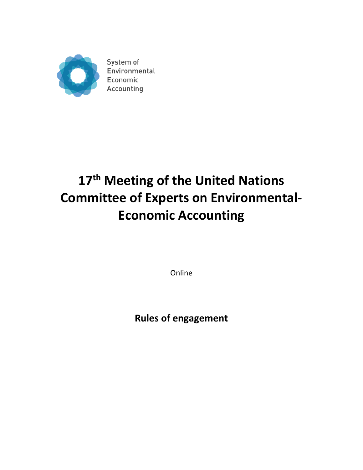

System of Environmental Economic Accounting

# **17 th Meeting of the United Nations Committee of Experts on Environmental-Economic Accounting**

Online

**Rules of engagement**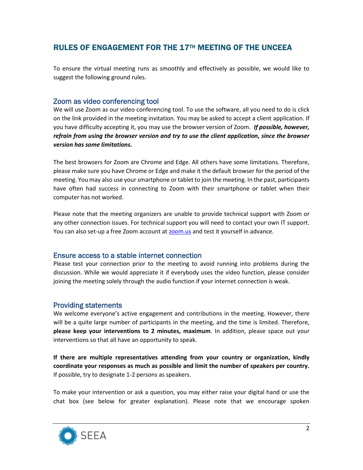## RULES OF ENGAGEMENT FOR THE 17TH MEETING OF THE UNCEEA

To ensure the virtual meeting runs as smoothly and effectively as possible, we would like to suggest the following ground rules.

## Zoom as video conferencing tool

We will use Zoom as our video conferencing tool. To use the software, all you need to do is click on the link provided in the meeting invitation. You may be asked to accept a client application. If you have difficulty accepting it, you may use the browser version of Zoom. *If possible, however, refrain from using the browser version and try to use the client application, since the browser version has some limitations.*

The best browsers for Zoom are Chrome and Edge. All others have some limitations. Therefore, please make sure you have Chrome or Edge and make it the default browser for the period of the meeting. You may also use your smartphone or tablet to join the meeting. In the past, participants have often had success in connecting to Zoom with their smartphone or tablet when their computer has not worked.

Please note that the meeting organizers are unable to provide technical support with Zoom or any other connection issues. For technical support you will need to contact your own IT support. You can also set-up a free Zoom account at **zoom.us** and test it yourself in advance.

## Ensure access to a stable internet connection

Please test your connection prior to the meeting to avoid running into problems during the discussion. While we would appreciate it if everybody uses the video function, please consider joining the meeting solely through the audio function if your internet connection is weak.

## Providing statements

We welcome everyone's active engagement and contributions in the meeting. However, there will be a quite large number of participants in the meeting, and the time is limited. Therefore, **please keep your interventions to 2 minutes, maximum**. In addition, please space out your interventions so that all have an opportunity to speak.

**If there are multiple representatives attending from your country or organization, kindly coordinate your responses as much as possible and limit the number of speakers per country.** If possible, try to designate 1-2 persons as speakers.

To make your intervention or ask a question, you may either raise your digital hand or use the chat box (see below for greater explanation). Please note that we encourage spoken

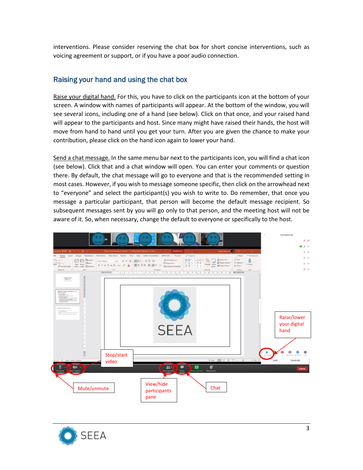interventions. Please consider reserving the chat box for short concise interventions, such as voicing agreement or support, or if you have a poor audio connection.

## Raising your hand and using the chat box

Raise your digital hand. For this, you have to click on the participants icon at the bottom of your screen. A window with names of participants will appear. At the bottom of the window, you will see several icons, including one of a hand (see below). Click on that once, and your raised hand will appear to the participants and host. Since many might have raised their hands, the host will move from hand to hand until you get your turn. After you are given the chance to make your contribution, please click on the hand icon again to lower your hand.

Send a chat message. In the same menu bar next to the participants icon, you will find a chat icon (see below). Click that and a chat window will open. You can enter your comments or question there. By default, the chat message will go to everyone and that is the recommended setting in most cases. However, if you wish to message someone specific, then click on the arrowhead next to "everyone" and select the participant(s) you wish to write to. Do remember, that once you message a particular participant, that person will become the default message recipient. So subsequent messages sent by you will go only to that person, and the meeting host will not be aware of it. So, when necessary, change the default to everyone or specifically to the host.